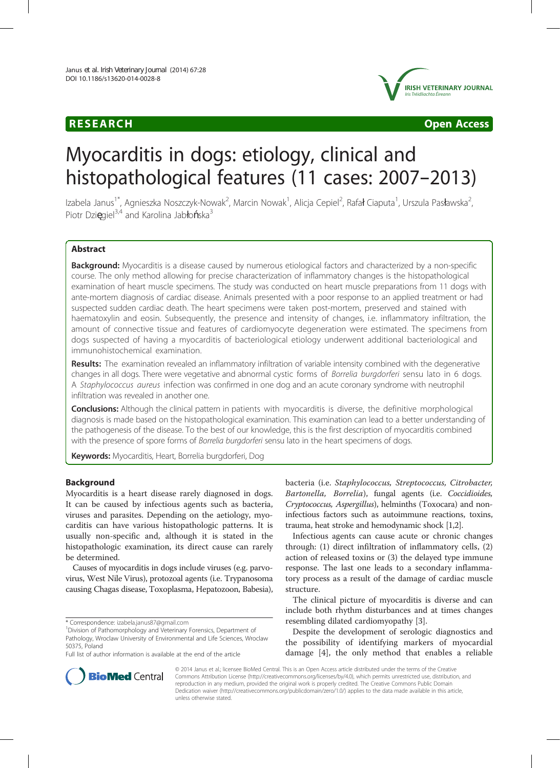## RESEARCH Open Access



# Myocarditis in dogs: etiology, clinical and histopathological features (11 cases: 2007–2013)

Izabela Janus<sup>1\*</sup>, Agnieszka Noszczyk-Nowak<sup>2</sup>, Marcin Nowak<sup>1</sup>, Alicja Cepiel<sup>2</sup>, Rafał Ciaputa<sup>1</sup>, Urszula Pasławska<sup>2</sup> , Piotr Dzi giel<sup>3,4</sup> and Karolina Jabło ska<sup>3</sup>

## Abstract

**Background:** Myocarditis is a disease caused by numerous etiological factors and characterized by a non-specific course. The only method allowing for precise characterization of inflammatory changes is the histopathological examination of heart muscle specimens. The study was conducted on heart muscle preparations from 11 dogs with ante-mortem diagnosis of cardiac disease. Animals presented with a poor response to an applied treatment or had suspected sudden cardiac death. The heart specimens were taken post-mortem, preserved and stained with haematoxylin and eosin. Subsequently, the presence and intensity of changes, i.e. inflammatory infiltration, the amount of connective tissue and features of cardiomyocyte degeneration were estimated. The specimens from dogs suspected of having a myocarditis of bacteriological etiology underwent additional bacteriological and immunohistochemical examination.

Results: The examination revealed an inflammatory infiltration of variable intensity combined with the degenerative changes in all dogs. There were vegetative and abnormal cystic forms of Borrelia burgdorferi sensu lato in 6 dogs. A Staphylococcus aureus infection was confirmed in one dog and an acute coronary syndrome with neutrophil infiltration was revealed in another one.

**Conclusions:** Although the clinical pattern in patients with myocarditis is diverse, the definitive morphological diagnosis is made based on the histopathological examination. This examination can lead to a better understanding of the pathogenesis of the disease. To the best of our knowledge, this is the first description of myocarditis combined with the presence of spore forms of Borrelia burgdorferi sensu lato in the heart specimens of dogs.

Keywords: Myocarditis, Heart, Borrelia burgdorferi, Dog

## Background

Myocarditis is a heart disease rarely diagnosed in dogs. It can be caused by infectious agents such as bacteria, viruses and parasites. Depending on the aetiology, myocarditis can have various histopathologic patterns. It is usually non-specific and, although it is stated in the histopathologic examination, its direct cause can rarely be determined.

Causes of myocarditis in dogs include viruses (e.g. parvovirus, West Nile Virus), protozoal agents (i.e. Trypanosoma causing Chagas disease, Toxoplasma, Hepatozoon, Babesia), bacteria (i.e. Staphylococcus, Streptococcus, Citrobacter, Bartonella, Borrelia), fungal agents (i.e. Coccidioides, Cryptococcus, Aspergillus), helminths (Toxocara) and noninfectious factors such as autoimmune reactions, toxins, trauma, heat stroke and hemodynamic shock [1,2].

Infectious agents can cause acute or chronic changes through: (1) direct infiltration of inflammatory cells, (2) action of released toxins or (3) the delayed type immune response. The last one leads to a secondary inflammatory process as a result of the damage of cardiac muscle structure.

The clinical picture of myocarditis is diverse and can include both rhythm disturbances and at times changes resembling dilated cardiomyopathy [3].

Despite the development of serologic diagnostics and the possibility of identifying markers of myocardial damage [4], the only method that enables a reliable



© 2014 Janus et al.; licensee BioMed Central. This is an Open Access article distributed under the terms of the Creative Commons Attribution License (http://creativecommons.org/licenses/by/4.0), which permits unrestricted use, distribution, and reproduction in any medium, provided the original work is properly credited. The Creative Commons Public Domain Dedication waiver (http://creativecommons.org/publicdomain/zero/1.0/) applies to the data made available in this article, unless otherwise stated.

<sup>\*</sup> Correspondence: izabela.janus87@gmail.com <sup>1</sup>

<sup>&</sup>lt;sup>1</sup>Division of Pathomorphology and Veterinary Forensics, Department of Pathology, Wroclaw University of Environmental and Life Sciences, Wroclaw 50375, Poland

Full list of author information is available at the end of the article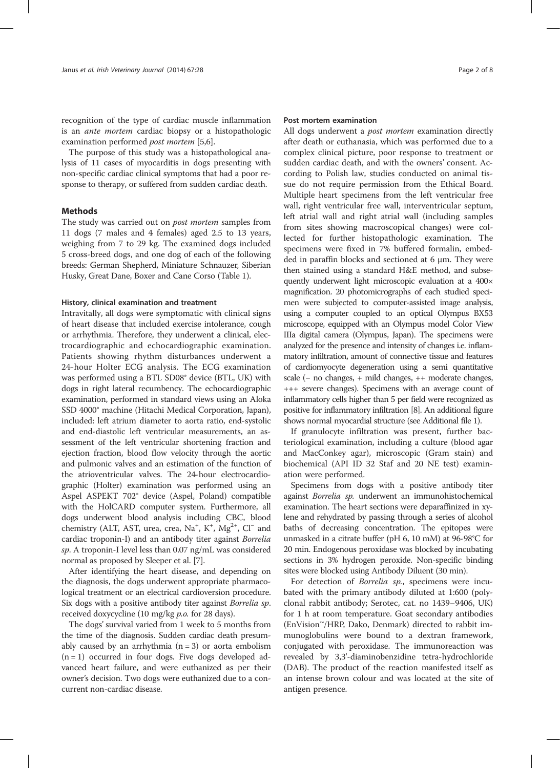recognition of the type of cardiac muscle inflammation is an ante mortem cardiac biopsy or a histopathologic examination performed *post mortem* [5,6].

The purpose of this study was a histopathological analysis of 11 cases of myocarditis in dogs presenting with non-specific cardiac clinical symptoms that had a poor response to therapy, or suffered from sudden cardiac death.

## Methods

The study was carried out on *post mortem* samples from 11 dogs (7 males and 4 females) aged 2.5 to 13 years, weighing from 7 to 29 kg. The examined dogs included 5 cross-breed dogs, and one dog of each of the following breeds: German Shepherd, Miniature Schnauzer, Siberian Husky, Great Dane, Boxer and Cane Corso (Table 1).

#### History, clinical examination and treatment

Intravitally, all dogs were symptomatic with clinical signs of heart disease that included exercise intolerance, cough or arrhythmia. Therefore, they underwent a clinical, electrocardiographic and echocardiographic examination. Patients showing rhythm disturbances underwent a 24-hour Holter ECG analysis. The ECG examination was performed using a BTL SD08® device (BTL, UK) with dogs in right lateral recumbency. The echocardiographic examination, performed in standard views using an Aloka SSD 4000® machine (Hitachi Medical Corporation, Japan), included: left atrium diameter to aorta ratio, end-systolic and end-diastolic left ventricular measurements, an assessment of the left ventricular shortening fraction and ejection fraction, blood flow velocity through the aortic and pulmonic valves and an estimation of the function of the atrioventricular valves. The 24-hour electrocardiographic (Holter) examination was performed using an Aspel ASPEKT 702® device (Aspel, Poland) compatible with the HolCARD computer system. Furthermore, all dogs underwent blood analysis including CBC, blood chemistry (ALT, AST, urea, crea, Na<sup>+</sup>, K<sup>+</sup>, Mg<sup>2+</sup>, Cl<sup>-</sup> and cardiac troponin-I) and an antibody titer against Borrelia sp. A troponin-I level less than 0.07 ng/mL was considered normal as proposed by Sleeper et al. [7].

After identifying the heart disease, and depending on the diagnosis, the dogs underwent appropriate pharmacological treatment or an electrical cardioversion procedure. Six dogs with a positive antibody titer against Borrelia sp. received doxycycline (10 mg/kg *p.o.* for 28 days).

The dogs' survival varied from 1 week to 5 months from the time of the diagnosis. Sudden cardiac death presumably caused by an arrhythmia  $(n = 3)$  or aorta embolism  $(n = 1)$  occurred in four dogs. Five dogs developed advanced heart failure, and were euthanized as per their owner's decision. Two dogs were euthanized due to a concurrent non-cardiac disease.

#### Post mortem examination

All dogs underwent a *post mortem* examination directly after death or euthanasia, which was performed due to a complex clinical picture, poor response to treatment or sudden cardiac death, and with the owners' consent. According to Polish law, studies conducted on animal tissue do not require permission from the Ethical Board. Multiple heart specimens from the left ventricular free wall, right ventricular free wall, interventricular septum, left atrial wall and right atrial wall (including samples from sites showing macroscopical changes) were collected for further histopathologic examination. The specimens were fixed in 7% buffered formalin, embedded in paraffin blocks and sectioned at  $6 \mu m$ . They were then stained using a standard H&E method, and subsequently underwent light microscopic evaluation at a 400× magnification. 20 photomicrographs of each studied specimen were subjected to computer-assisted image analysis, using a computer coupled to an optical Olympus BX53 microscope, equipped with an Olympus model Color View IIIa digital camera (Olympus, Japan). The specimens were analyzed for the presence and intensity of changes i.e. inflammatory infiltration, amount of connective tissue and features of cardiomyocyte degeneration using a semi quantitative scale (− no changes, + mild changes, ++ moderate changes, +++ severe changes). Specimens with an average count of inflammatory cells higher than 5 per field were recognized as positive for inflammatory infiltration [8]. An additional figure shows normal myocardial structure (see Additional file 1).

If granulocyte infiltration was present, further bacteriological examination, including a culture (blood agar and MacConkey agar), microscopic (Gram stain) and biochemical (API ID 32 Staf and 20 NE test) examination were performed.

Specimens from dogs with a positive antibody titer against Borrelia sp. underwent an immunohistochemical examination. The heart sections were deparaffinized in xylene and rehydrated by passing through a series of alcohol baths of decreasing concentration. The epitopes were unmasked in a citrate buffer (pH 6, 10 mM) at 96-98°C for 20 min. Endogenous peroxidase was blocked by incubating sections in 3% hydrogen peroxide. Non-specific binding sites were blocked using Antibody Diluent (30 min).

For detection of Borrelia sp., specimens were incubated with the primary antibody diluted at 1:600 (polyclonal rabbit antibody; Serotec, cat. no 1439–9406, UK) for 1 h at room temperature. Goat secondary antibodies (EnVision™/HRP, Dako, Denmark) directed to rabbit immunoglobulins were bound to a dextran framework, conjugated with peroxidase. The immunoreaction was revealed by 3,3'-diaminobenzidine tetra-hydrochloride (DAB). The product of the reaction manifested itself as an intense brown colour and was located at the site of antigen presence.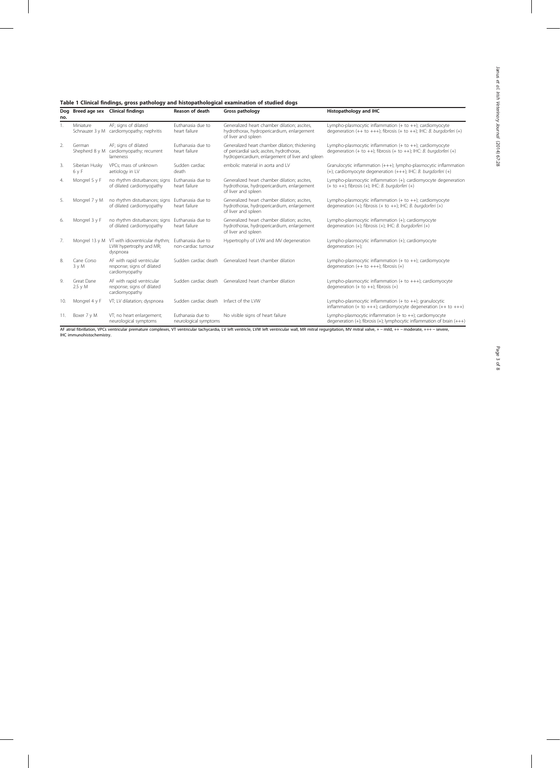## Table 1 Clinical findings, gross pathology and histopathological examination of studied dogs

| Dog<br>no. | Breed age sex                | Clinical findings                                                                     | Reason of death                            | Gross pathology                                                                                                                                   | Histopathology and IHC                                                                                                                                     |
|------------|------------------------------|---------------------------------------------------------------------------------------|--------------------------------------------|---------------------------------------------------------------------------------------------------------------------------------------------------|------------------------------------------------------------------------------------------------------------------------------------------------------------|
| 1.         | Miniature<br>Schnauzer 3 v M | AF; signs of dilated<br>cardiomyopathy; nephritis                                     | Euthanasia due to<br>heart failure         | Generalized heart chamber dilation; ascites,<br>hydrothorax, hydropericardium, enlargement<br>of liver and spleen                                 | Lympho-plasmocytic inflammation $(+$ to $++$ ); cardiomyocyte<br>degeneration $(++)$ to $++$ ); fibrosis $(+)$ to $++$ ); IHC: <i>B. burgdorferi</i> $(+)$ |
| 2.         | German<br>Shepherd 8 y M     | AF; signs of dilated<br>cardiomyopathy; recurrent<br>lameness                         | Euthanasia due to<br>heart failure         | Generalized heart chamber dilation; thickening<br>of pericardial sack; ascites, hydrothorax,<br>hydropericardium, enlargement of liver and spleen | Lympho-plasmocytic inflammation $(+ to ++)$ ; cardiomyocyte<br>degeneration (+ to ++); fibrosis (+ to ++); IHC: B. burgdorferi (+)                         |
| 3.         | Siberian Husky<br>6 y F      | VPCs: mass of unknown<br>aetiology in LV                                              | Sudden cardiac<br>death                    | embolic material in aorta and LV                                                                                                                  | Granulocytic inflammation (+++); lympho-plasmocytic inflammation<br>(+); cardiomyocyte degeneration (+++); IHC: B. burgdorferi (+)                         |
| 4.         | Mongrel 5 y F                | no rhythm disturbances; signs<br>of dilated cardiomyopathy                            | Futhanasia due to<br>heart failure         | Generalized heart chamber dilation: ascites.<br>hydrothorax, hydropericardium, enlargement<br>of liver and spleen                                 | Lympho-plasmocytic inflammation (+); cardiomyocyte degeneration<br>$(+ to ++);$ fibrosis $(+);$ IHC: B. burgdorferi $(+)$                                  |
| 5.         | Mongrel 7 y M                | no rhythm disturbances; signs<br>of dilated cardiomyopathy                            | Euthanasia due to<br>heart failure         | Generalized heart chamber dilation; ascites,<br>hydrothorax, hydropericardium, enlargement<br>of liver and spleen                                 | Lympho-plasmocytic inflammation $(+ to ++)$ ; cardiomyocyte<br>degeneration (+); fibrosis (+ to ++); IHC: B. burgdorferi (+)                               |
| 6.         | Mongrel 3 y F                | no rhythm disturbances; signs<br>of dilated cardiomyopathy                            | Futhanasia due to<br>heart failure         | Generalized heart chamber dilation: ascites.<br>hydrothorax, hydropericardium, enlargement<br>of liver and spleen                                 | Lympho-plasmocytic inflammation (+); cardiomyocyte<br>degeneration (+); fibrosis (+); IHC: B. burgdorferi (+)                                              |
| 7.         |                              | Mongrel 13 y M VT with idioventricular rhythm;<br>LVW hypertrophy and MR;<br>dyspnoea | Euthanasia due to<br>non-cardiac tumour    | Hypertrophy of LVW and MV degeneration                                                                                                            | Lympho-plasmocytic inflammation (+); cardiomyocyte<br>degeneration (+);                                                                                    |
| 8.         | Cane Corso<br>3 y M          | AF with rapid ventricular<br>response; signs of dilated<br>cardiomyopathy             | Sudden cardiac death                       | Generalized heart chamber dilation                                                                                                                | Lympho-plasmocytic inflammation $(+ to ++)$ ; cardiomyocyte<br>degeneration $(++$ to $++$ ); fibrosis $(+)$                                                |
| 9.         | Great Dane<br>2.5 y M        | AF with rapid ventricular<br>response; signs of dilated<br>cardiomyopathy             | Sudden cardiac death                       | Generalized heart chamber dilation                                                                                                                | Lympho-plasmocytic inflammation $(+$ to $++$ ); cardiomyocyte<br>degeneration $(+ to ++)$ ; fibrosis $(+)$                                                 |
| 10.        | Mongrel 4 y F                | VT; LV dilatation; dyspnoea                                                           | Sudden cardiac death                       | Infarct of the LWV                                                                                                                                | Lympho-plasmocytic inflammation $(+$ to $++$ ); granulocytic<br>inflammation $(+ to ++)$ ; cardiomyocyte degeneration $(+ to ++)$                          |
| 11.        | Boxer 7 y M                  | VT; no heart enlargement;<br>neurological symptoms                                    | Euthanasia due to<br>neurological symptoms | No visible signs of heart failure                                                                                                                 | Lympho-plasmocytic inflammation (+ to ++); cardiomyocyte<br>degeneration $(+)$ ; fibrosis $(+)$ ; lymphocytic inflammation of brain $(+++)$                |

AF atrial fibrillation, VPCs ventricular premature complexes, VT ventricular tachycardia, LV left ventricule, LVW left ventricular wall, MR mitral regurgitation, MV mitral valve, +– mild, ++– moderate, +++– severe<br>IHC immu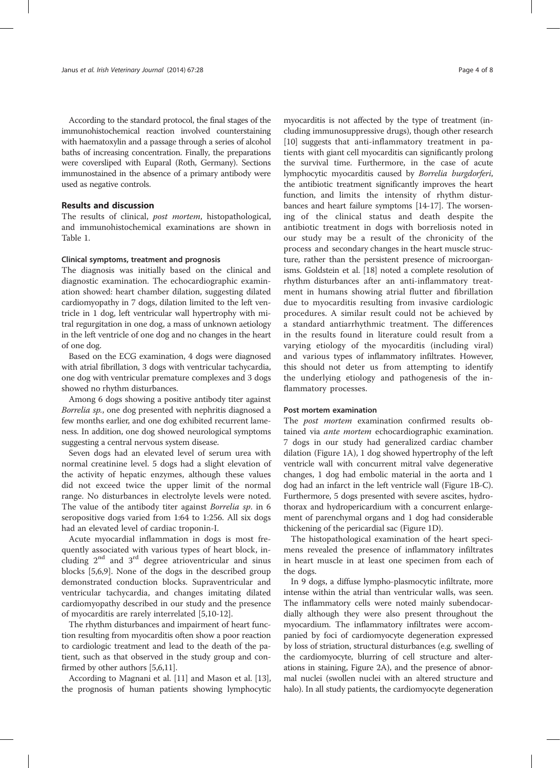According to the standard protocol, the final stages of the immunohistochemical reaction involved counterstaining with haematoxylin and a passage through a series of alcohol baths of increasing concentration. Finally, the preparations were coversliped with Euparal (Roth, Germany). Sections immunostained in the absence of a primary antibody were used as negative controls.

### Results and discussion

The results of clinical, post mortem, histopathological, and immunohistochemical examinations are shown in Table 1.

#### Clinical symptoms, treatment and prognosis

The diagnosis was initially based on the clinical and diagnostic examination. The echocardiographic examination showed: heart chamber dilation, suggesting dilated cardiomyopathy in 7 dogs, dilation limited to the left ventricle in 1 dog, left ventricular wall hypertrophy with mitral regurgitation in one dog, a mass of unknown aetiology in the left ventricle of one dog and no changes in the heart of one dog.

Based on the ECG examination, 4 dogs were diagnosed with atrial fibrillation, 3 dogs with ventricular tachycardia, one dog with ventricular premature complexes and 3 dogs showed no rhythm disturbances.

Among 6 dogs showing a positive antibody titer against Borrelia sp., one dog presented with nephritis diagnosed a few months earlier, and one dog exhibited recurrent lameness. In addition, one dog showed neurological symptoms suggesting a central nervous system disease.

Seven dogs had an elevated level of serum urea with normal creatinine level. 5 dogs had a slight elevation of the activity of hepatic enzymes, although these values did not exceed twice the upper limit of the normal range. No disturbances in electrolyte levels were noted. The value of the antibody titer against Borrelia sp. in 6 seropositive dogs varied from 1:64 to 1:256. All six dogs had an elevated level of cardiac troponin-I.

Acute myocardial inflammation in dogs is most frequently associated with various types of heart block, including  $2^{nd}$  and  $3^{rd}$  degree atrioventricular and sinus blocks [5,6,9]. None of the dogs in the described group demonstrated conduction blocks. Supraventricular and ventricular tachycardia, and changes imitating dilated cardiomyopathy described in our study and the presence of myocarditis are rarely interrelated [5,10-12].

The rhythm disturbances and impairment of heart function resulting from myocarditis often show a poor reaction to cardiologic treatment and lead to the death of the patient, such as that observed in the study group and confirmed by other authors [5,6,11].

According to Magnani et al. [11] and Mason et al. [13], the prognosis of human patients showing lymphocytic myocarditis is not affected by the type of treatment (including immunosuppressive drugs), though other research [10] suggests that anti-inflammatory treatment in patients with giant cell myocarditis can significantly prolong the survival time. Furthermore, in the case of acute lymphocytic myocarditis caused by Borrelia burgdorferi, the antibiotic treatment significantly improves the heart function, and limits the intensity of rhythm disturbances and heart failure symptoms [14-17]. The worsening of the clinical status and death despite the antibiotic treatment in dogs with borreliosis noted in our study may be a result of the chronicity of the process and secondary changes in the heart muscle structure, rather than the persistent presence of microorganisms. Goldstein et al. [18] noted a complete resolution of rhythm disturbances after an anti-inflammatory treatment in humans showing atrial flutter and fibrillation due to myocarditis resulting from invasive cardiologic procedures. A similar result could not be achieved by a standard antiarrhythmic treatment. The differences in the results found in literature could result from a varying etiology of the myocarditis (including viral) and various types of inflammatory infiltrates. However, this should not deter us from attempting to identify the underlying etiology and pathogenesis of the inflammatory processes.

#### Post mortem examination

The *post mortem* examination confirmed results obtained via ante mortem echocardiographic examination. 7 dogs in our study had generalized cardiac chamber dilation (Figure 1A), 1 dog showed hypertrophy of the left ventricle wall with concurrent mitral valve degenerative changes, 1 dog had embolic material in the aorta and 1 dog had an infarct in the left ventricle wall (Figure 1B-C). Furthermore, 5 dogs presented with severe ascites, hydrothorax and hydropericardium with a concurrent enlargement of parenchymal organs and 1 dog had considerable thickening of the pericardial sac (Figure 1D).

The histopathological examination of the heart specimens revealed the presence of inflammatory infiltrates in heart muscle in at least one specimen from each of the dogs.

In 9 dogs, a diffuse lympho-plasmocytic infiltrate, more intense within the atrial than ventricular walls, was seen. The inflammatory cells were noted mainly subendocardially although they were also present throughout the myocardium. The inflammatory infiltrates were accompanied by foci of cardiomyocyte degeneration expressed by loss of striation, structural disturbances (e.g. swelling of the cardiomyocyte, blurring of cell structure and alterations in staining, Figure 2A), and the presence of abnormal nuclei (swollen nuclei with an altered structure and halo). In all study patients, the cardiomyocyte degeneration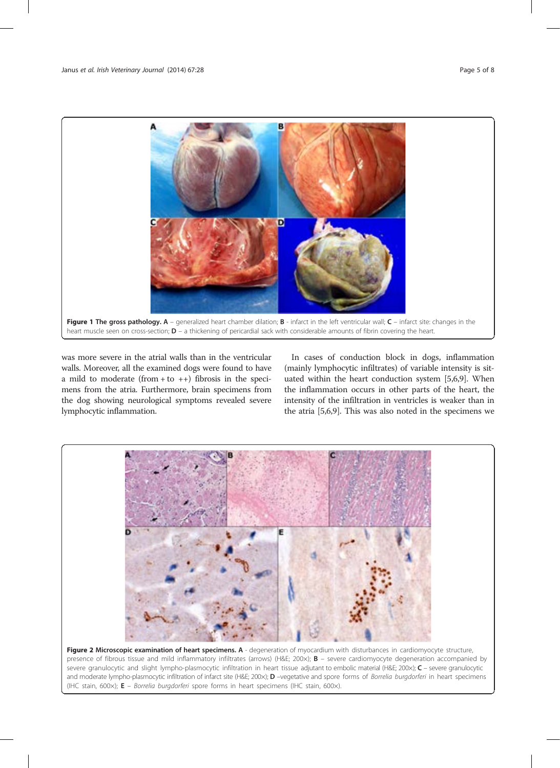

was more severe in the atrial walls than in the ventricular walls. Moreover, all the examined dogs were found to have a mild to moderate (from  $+$  to  $++$ ) fibrosis in the specimens from the atria. Furthermore, brain specimens from the dog showing neurological symptoms revealed severe lymphocytic inflammation.

In cases of conduction block in dogs, inflammation (mainly lymphocytic infiltrates) of variable intensity is situated within the heart conduction system [5,6,9]. When the inflammation occurs in other parts of the heart, the intensity of the infiltration in ventricles is weaker than in the atria [5,6,9]. This was also noted in the specimens we



Figure 2 Microscopic examination of heart specimens. A - degeneration of myocardium with disturbances in cardiomyocyte structure, presence of fibrous tissue and mild inflammatory infiltrates (arrows) (H&E; 200×); **B** – severe cardiomyocyte degeneration accompanied by severe granulocytic and slight lympho-plasmocytic infiltration in heart tissue adjutant to embolic material (H&E; 200×); C - severe granulocytic and moderate lympho-plasmocytic infiltration of infarct site (H&E; 200x); D -vegetative and spore forms of Borrelia burgdorferi in heart specimens (IHC stain, 600x); **E** – *Borrelia burgdorferi* spore forms in heart specimens (IHC stain, 600x).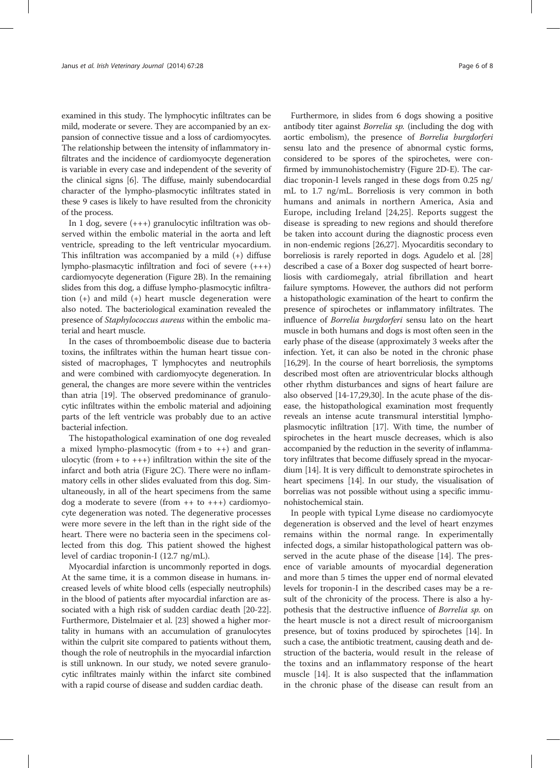examined in this study. The lymphocytic infiltrates can be mild, moderate or severe. They are accompanied by an expansion of connective tissue and a loss of cardiomyocytes. The relationship between the intensity of inflammatory infiltrates and the incidence of cardiomyocyte degeneration is variable in every case and independent of the severity of the clinical signs [6]. The diffuse, mainly subendocardial character of the lympho-plasmocytic infiltrates stated in these 9 cases is likely to have resulted from the chronicity of the process.

In 1 dog, severe  $(+++)$  granulocytic infiltration was observed within the embolic material in the aorta and left ventricle, spreading to the left ventricular myocardium. This infiltration was accompanied by a mild (+) diffuse lympho-plasmacytic infiltration and foci of severe (+++) cardiomyocyte degeneration (Figure 2B). In the remaining slides from this dog, a diffuse lympho-plasmocytic infiltration (+) and mild (+) heart muscle degeneration were also noted. The bacteriological examination revealed the presence of Staphylococcus aureus within the embolic material and heart muscle.

In the cases of thromboembolic disease due to bacteria toxins, the infiltrates within the human heart tissue consisted of macrophages, T lymphocytes and neutrophils and were combined with cardiomyocyte degeneration. In general, the changes are more severe within the ventricles than atria [19]. The observed predominance of granulocytic infiltrates within the embolic material and adjoining parts of the left ventricle was probably due to an active bacterial infection.

The histopathological examination of one dog revealed a mixed lympho-plasmocytic (from  $+$  to  $+$ ) and granulocytic (from  $+$  to  $++$ ) infiltration within the site of the infarct and both atria (Figure 2C). There were no inflammatory cells in other slides evaluated from this dog. Simultaneously, in all of the heart specimens from the same dog a moderate to severe (from  $++$  to  $+++)$  cardiomyocyte degeneration was noted. The degenerative processes were more severe in the left than in the right side of the heart. There were no bacteria seen in the specimens collected from this dog. This patient showed the highest level of cardiac troponin-I (12.7 ng/mL).

Myocardial infarction is uncommonly reported in dogs. At the same time, it is a common disease in humans. increased levels of white blood cells (especially neutrophils) in the blood of patients after myocardial infarction are associated with a high risk of sudden cardiac death [20-22]. Furthermore, Distelmaier et al. [23] showed a higher mortality in humans with an accumulation of granulocytes within the culprit site compared to patients without them, though the role of neutrophils in the myocardial infarction is still unknown. In our study, we noted severe granulocytic infiltrates mainly within the infarct site combined with a rapid course of disease and sudden cardiac death.

Furthermore, in slides from 6 dogs showing a positive antibody titer against Borrelia sp. (including the dog with aortic embolism), the presence of Borrelia burgdorferi sensu lato and the presence of abnormal cystic forms, considered to be spores of the spirochetes, were confirmed by immunohistochemistry (Figure 2D-E). The cardiac troponin-I levels ranged in these dogs from 0.25 ng/ mL to 1.7 ng/mL. Borreliosis is very common in both humans and animals in northern America, Asia and Europe, including Ireland [24,25]. Reports suggest the disease is spreading to new regions and should therefore be taken into account during the diagnostic process even in non-endemic regions [26,27]. Myocarditis secondary to borreliosis is rarely reported in dogs. Agudelo et al. [28] described a case of a Boxer dog suspected of heart borreliosis with cardiomegaly, atrial fibrillation and heart failure symptoms. However, the authors did not perform a histopathologic examination of the heart to confirm the presence of spirochetes or inflammatory infiltrates. The influence of Borrelia burgdorferi sensu lato on the heart muscle in both humans and dogs is most often seen in the early phase of the disease (approximately 3 weeks after the infection. Yet, it can also be noted in the chronic phase [16,29]. In the course of heart borreliosis, the symptoms described most often are atrioventricular blocks although other rhythm disturbances and signs of heart failure are also observed [14-17,29,30]. In the acute phase of the disease, the histopathological examination most frequently reveals an intense acute transmural interstitial lymphoplasmocytic infiltration [17]. With time, the number of spirochetes in the heart muscle decreases, which is also accompanied by the reduction in the severity of inflammatory infiltrates that become diffusely spread in the myocardium [14]. It is very difficult to demonstrate spirochetes in heart specimens [14]. In our study, the visualisation of borrelias was not possible without using a specific immunohistochemical stain.

In people with typical Lyme disease no cardiomyocyte degeneration is observed and the level of heart enzymes remains within the normal range. In experimentally infected dogs, a similar histopathological pattern was observed in the acute phase of the disease [14]. The presence of variable amounts of myocardial degeneration and more than 5 times the upper end of normal elevated levels for troponin-I in the described cases may be a result of the chronicity of the process. There is also a hypothesis that the destructive influence of Borrelia sp. on the heart muscle is not a direct result of microorganism presence, but of toxins produced by spirochetes [14]. In such a case, the antibiotic treatment, causing death and destruction of the bacteria, would result in the release of the toxins and an inflammatory response of the heart muscle [14]. It is also suspected that the inflammation in the chronic phase of the disease can result from an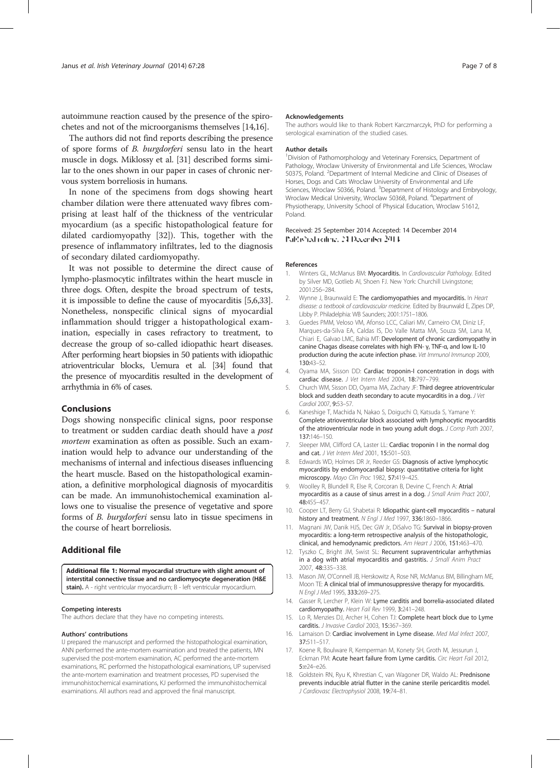autoimmune reaction caused by the presence of the spirochetes and not of the microorganisms themselves [14,16].

The authors did not find reports describing the presence of spore forms of B. burgdorferi sensu lato in the heart muscle in dogs. Miklossy et al. [31] described forms similar to the ones shown in our paper in cases of chronic nervous system borreliosis in humans.

In none of the specimens from dogs showing heart chamber dilation were there attenuated wavy fibres comprising at least half of the thickness of the ventricular myocardium (as a specific histopathological feature for dilated cardiomyopathy [32]). This, together with the presence of inflammatory infiltrates, led to the diagnosis of secondary dilated cardiomyopathy.

It was not possible to determine the direct cause of lympho-plasmocytic infiltrates within the heart muscle in three dogs. Often, despite the broad spectrum of tests, it is impossible to define the cause of myocarditis [5,6,33]. Nonetheless, nonspecific clinical signs of myocardial inflammation should trigger a histopathological examination, especially in cases refractory to treatment, to decrease the group of so-called idiopathic heart diseases. After performing heart biopsies in 50 patients with idiopathic atrioventricular blocks, Uemura et al. [34] found that the presence of myocarditis resulted in the development of arrhythmia in 6% of cases.

#### Conclusions

Dogs showing nonspecific clinical signs, poor response to treatment or sudden cardiac death should have a post mortem examination as often as possible. Such an examination would help to advance our understanding of the mechanisms of internal and infectious diseases influencing the heart muscle. Based on the histopathological examination, a definitive morphological diagnosis of myocarditis can be made. An immunohistochemical examination allows one to visualise the presence of vegetative and spore forms of B. burgdorferi sensu lato in tissue specimens in the course of heart borreliosis.

## Additional file

Additional file 1: Normal myocardial structure with slight amount of interstital connective tissue and no cardiomyocyte degeneration (H&E stain). A - right ventricular myocardium; B - left ventricular myocardium.

#### Competing interests

The authors declare that they have no competing interests.

#### Authors' contributions

IJ prepared the manuscript and performed the histopathological examination, ANN performed the ante-mortem examination and treated the patients, MN supervised the post-mortem examination, AC performed the ante-mortem examinations, RC performed the histopathological examinations, UP supervised the ante-mortem examination and treatment processes, PD supervised the immunohistochemical examinations, KJ performed the immunohistochemical examinations. All authors read and approved the final manuscript.

#### Acknowledgements

The authors would like to thank Robert Karczmarczyk, PhD for performing a serological examination of the studied cases.

#### Author details

<sup>1</sup>Division of Pathomorphology and Veterinary Forensics, Department of Pathology, Wroclaw University of Environmental and Life Sciences, Wroclaw 50375, Poland. <sup>2</sup>Department of Internal Medicine and Clinic of Diseases of Horses, Dogs and Cats Wroclaw University of Environmental and Life Sciences, Wroclaw 50366, Poland. <sup>3</sup>Department of Histology and Embryology Wroclaw Medical University, Wroclaw 50368, Poland. <sup>4</sup>Department of Physiotherapy, University School of Physical Education, Wroclaw 51612, Poland.

#### Received: 25 September 2014 Accepted: 14 December 2014 Paldished rolme, 24 December 2014

#### References

- Winters GL, McManus BM: Myocarditis. In Cardiovascular Pathology. Edited by Silver MD, Gotlieb AI, Shoen FJ. New York: Churchill Livingstone; 2001:256–284.
- 2. Wynne J, Braunwald E: The cardiomyopathies and myocarditis. In Heart disease: a textbook of cardiovascular medicine. Edited by Braunwald E, Zipes DP, Libby P. Philadelphia: WB Saunders; 2001:1751–1806.
- 3. Guedes PMM, Veloso VM, Afonso LCC, Caliari MV, Carneiro CM, Diniz LF, Marques-da-Silva EA, Caldas IS, Do Valle Matta MA, Souza SM, Lana M, Chiari E, Galvao LMC, Bahia MT: Development of chronic cardiomyopathy in canine Chagas disease correlates with high IFN- γ, TNF-α, and low IL-10 production during the acute infection phase. Vet Immunol Immunop 2009, 130:43–52.
- 4. Oyama MA, Sisson DD: Cardiac troponin-I concentration in dogs with cardiac disease. J Vet Intern Med 2004, 18:797–799.
- 5. Church WM, Sisson DD, Oyama MA, Zachary JF: Third degree atrioventricular block and sudden death secondary to acute myocarditis in a dog. J Vet Cardiol 2007, 9:53–57.
- 6. Kaneshige T, Machida N, Nakao S, Doiguchi O, Katsuda S, Yamane Y: Complete atrioventricular block associated with lymphocytic myocarditis of the atrioventricular node in two young adult dogs. J Comp Path 2007, 137:146–150.
- 7. Sleeper MM, Clifford CA, Laster LL: Cardiac troponin I in the normal dog and cat. J Vet Intern Med 2001, 15:501–503.
- 8. Edwards WD, Holmes DR Jr, Reeder GS: Diagnosis of active lymphocytic myocarditis by endomyocardial biopsy: quantitative criteria for light microscopy. Mayo Clin Proc 1982, 57:419-425.
- 9. Woolley R, Blundell R, Else R, Corcoran B, Devine C, French A: Atrial myocarditis as a cause of sinus arrest in a dog. J Small Anim Pract 2007. 48:455–457.
- 10. Cooper LT, Berry GJ, Shabetai R: Idiopathic giant-cell myocarditis natural history and treatment. N Engl J Med 1997, 336:1860-1866.
- 11. Magnani JW, Danik HJS, Dec GW Jr, DiSalvo TG: Survival in biopsy-proven myocarditis: a long-term retrospective analysis of the histopathologic, clinical, and hemodynamic predictors. Am Heart J 2006, 151:463–470.
- 12. Tyszko C, Bright JM, Swist SL: Recurrent supraventricular arrhythmias in a dog with atrial myocarditis and gastritis. J Small Anim Pract 2007, 48:335–338.
- 13. Mason JW, O'Connell JB, Herskowitz A, Rose NR, McManus BM, Billingham ME, Moon TE: A clinical trial of immunosuppressive therapy for myocarditis. N Engl J Med 1995, 333:269–275.
- 14. Gasser R, Lercher P, Klein W: Lyme carditis and borrelia-associated dilated cardiomyopathy. Heart Fail Rev 1999, 3:241–248.
- 15. Lo R, Menzies DJ, Archer H, Cohen TJ: Complete heart block due to Lyme carditis. J Invasive Cardiol 2003, 15:367–369.
- 16. Lamaison D: Cardiac involvement in Lyme disease. Med Mal Infect 2007, 37:511–517.
- 17. Koene R, Boulware R, Kemperman M, Konety SH, Groth M, Jessurun J, Eckman PM: Acute heart failure from Lyme carditis. Circ Heart Fail 2012, 5:e24–e26.
- 18. Goldstein RN, Ryu K, Khrestian C, van Wagoner DR, Waldo AL: Prednisone prevents inducible atrial flutter in the canine sterile pericarditis model. J Cardiovasc Electrophysiol 2008, 19:74–81.